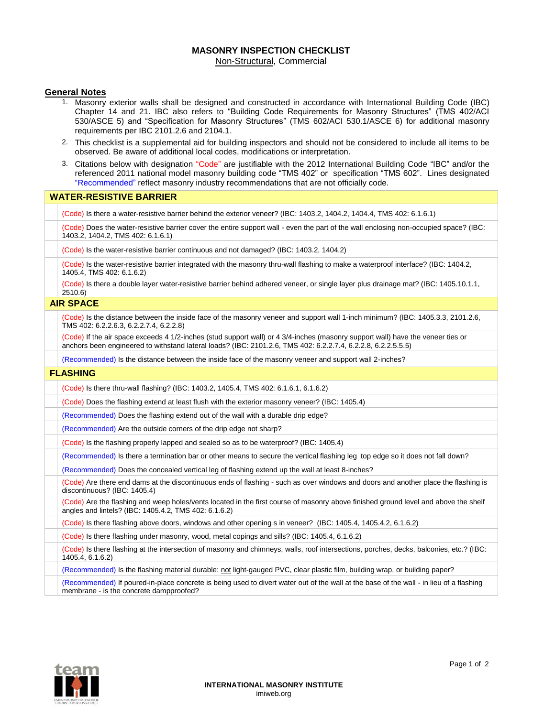# **MASONRY INSPECTION CHECKLIST**

Non-Structural, Commercial

#### **General Notes**

- 1. Masonry exterior walls shall be designed and constructed in accordance with International Building Code (IBC) Chapter 14 and 21. IBC also refers to "Building Code Requirements for Masonry Structures" (TMS 402/ACI 530/ASCE 5) and "Specification for Masonry Structures" (TMS 602/ACI 530.1/ASCE 6) for additional masonry requirements per IBC 2101.2.6 and 2104.1.
- 2. This checklist is a supplemental aid for building inspectors and should not be considered to include all items to be observed. Be aware of additional local codes, modifications or interpretation.
- 3. Citations below with designation "Code" are justifiable with the 2012 International Building Code "IBC" and/or the referenced 2011 national model masonry building code "TMS 402" or specification "TMS 602". Lines designated "Recommended" reflect masonry industry recommendations that are not officially code.

### **WATER-RESISTIVE BARRIER**

(Code) Is there a water-resistive barrier behind the exterior veneer? (IBC: 1403.2, 1404.2, 1404.4, TMS 402: 6.1.6.1)

(Code) Does the water-resistive barrier cover the entire support wall - even the part of the wall enclosing non-occupied space? (IBC: 1403.2, 1404.2, TMS 402: 6.1.6.1)

(Code) Is the water-resistive barrier continuous and not damaged? (IBC: 1403.2, 1404.2)

(Code) Is the water-resistive barrier integrated with the masonry thru-wall flashing to make a waterproof interface? (IBC: 1404.2, 1405.4, TMS 402: 6.1.6.2)

(Code) Is there a double layer water-resistive barrier behind adhered veneer, or single layer plus drainage mat? (IBC: 1405.10.1.1,  $2510.6$ 

## **AIR SPACE**

(Code) Is the distance between the inside face of the masonry veneer and support wall 1-inch minimum? (IBC: 1405.3.3, 2101.2.6, TMS 402: 6.2.2.6.3, 6.2.2.7.4, 6.2.2.8)

(Code) If the air space exceeds 4 1/2-inches (stud support wall) or 4 3/4-inches (masonry support wall) have the veneer ties or anchors been engineered to withstand lateral loads? (IBC: 2101.2.6, TMS 402: 6.2.2.7.4, 6.2.2.8, 6.2.2.5.5.5)

(Recommended) Is the distance between the inside face of the masonry veneer and support wall 2-inches?

#### **FLASHING**

(Code) Is there thru-wall flashing? (IBC: 1403.2, 1405.4, TMS 402: 6.1.6.1, 6.1.6.2)

(Code) Does the flashing extend at least flush with the exterior masonry veneer? (IBC: 1405.4)

(Recommended) Does the flashing extend out of the wall with a durable drip edge?

(Recommended) Are the outside corners of the drip edge not sharp?

(Code) Is the flashing properly lapped and sealed so as to be waterproof? (IBC: 1405.4)

(Recommended) Is there a termination bar or other means to secure the vertical flashing leg top edge so it does not fall down?

(Recommended) Does the concealed vertical leg of flashing extend up the wall at least 8-inches?

(Code) Are there end dams at the discontinuous ends of flashing - such as over windows and doors and another place the flashing is discontinuous? (IBC: 1405.4)

(Code) Are the flashing and weep holes/vents located in the first course of masonry above finished ground level and above the shelf angles and lintels? (IBC: 1405.4.2, TMS 402: 6.1.6.2)

(Code) Is there flashing above doors, windows and other opening s in veneer? (IBC: 1405.4, 1405.4.2, 6.1.6.2)

(Code) Is there flashing under masonry, wood, metal copings and sills? (IBC: 1405.4, 6.1.6.2)

(Code) Is there flashing at the intersection of masonry and chimneys, walls, roof intersections, porches, decks, balconies, etc.? (IBC: 1405.4, 6.1.6.2)

(Recommended) Is the flashing material durable: not light-gauged PVC, clear plastic film, building wrap, or building paper?

(Recommended) If poured-in-place concrete is being used to divert water out of the wall at the base of the wall - in lieu of a flashing membrane - is the concrete dampproofed?